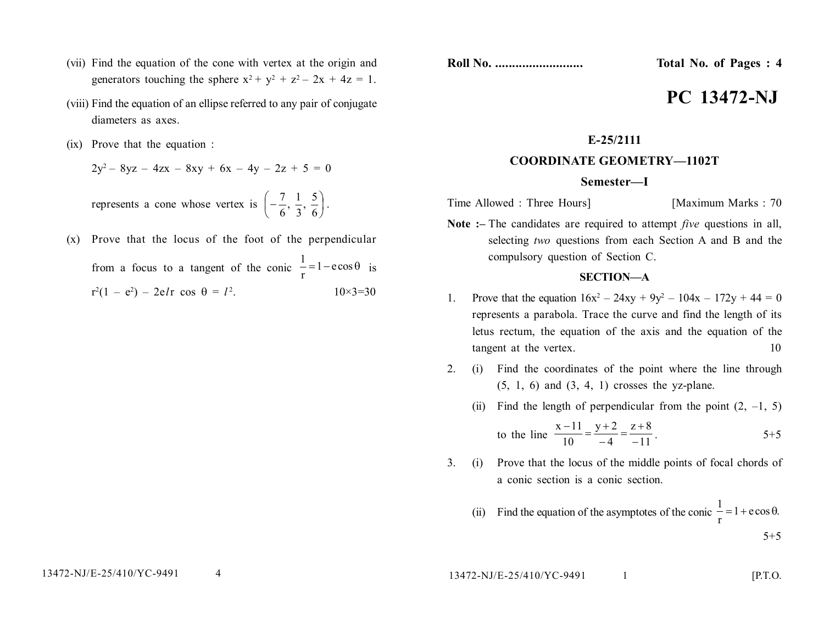- (vii) Find the equation of the cone with vertex at the origin and generators touching the sphere  $x^2 + y^2 + z^2 - 2x + 4z = 1$ .
- (viii) Find the equation of an ellipse referred to any pair of conjugate diameters as axes.
- (ix) Prove that the equation :

$$
2y^2 - 8yz - 4zx - 8xy + 6x - 4y - 2z + 5 = 0
$$

represents a cone whose vertex is  $\left[-\frac{7}{6}, \frac{1}{2}, \frac{5}{6}\right]$ J  $\left(-\frac{7}{6},\frac{1}{2},\frac{5}{6}\right)$  $\setminus$  $\Big| -$ 6  $\frac{5}{4}$ 3  $\frac{1}{2}$ 6  $\left(\frac{7}{2}, \frac{1}{2}, \frac{5}{2}\right)$ .

(x) Prove that the locus of the foot of the perpendicular from a focus to a tangent of the conic  $\frac{1}{r} = 1 - e \cos \theta$ 1 is  $r^2(1 - e^2) - 2e^2$  cos  $\theta = l^2$  $10\times 3=30$ 

**Roll No. .......................... Total No. of Pages : 4**

# **PC 13472-NJ**

### **E-25/2111**

## **COORDINATE GEOMETRY—1102T**

#### **Semester—I**

Time Allowed : Three Hours] [Maximum Marks : 70

**Note :–** The candidates are required to attempt *five* questions in all, selecting *two* questions from each Section A and B and the compulsory question of Section C.

#### **SECTION—A**

- 1. Prove that the equation  $16x^2 24xy + 9y^2 104x 172y + 44 = 0$ represents a parabola. Trace the curve and find the length of its letus rectum, the equation of the axis and the equation of the tangent at the vertex. 10
- 2. (i) Find the coordinates of the point where the line through  $(5, 1, 6)$  and  $(3, 4, 1)$  crosses the yz-plane.
	- (ii) Find the length of perpendicular from the point  $(2, -1, 5)$

to the line 
$$
\frac{x-11}{10} = \frac{y+2}{-4} = \frac{z+8}{-11}
$$
.

3. (i) Prove that the locus of the middle points of focal chords of a conic section is a conic section.

(ii) Find the equation of the asymptotes of the conic 
$$
\frac{1}{r} = 1 + e \cos \theta
$$
.

13472-NJ/E-25/410/YC-9491 1 [P.T.O.